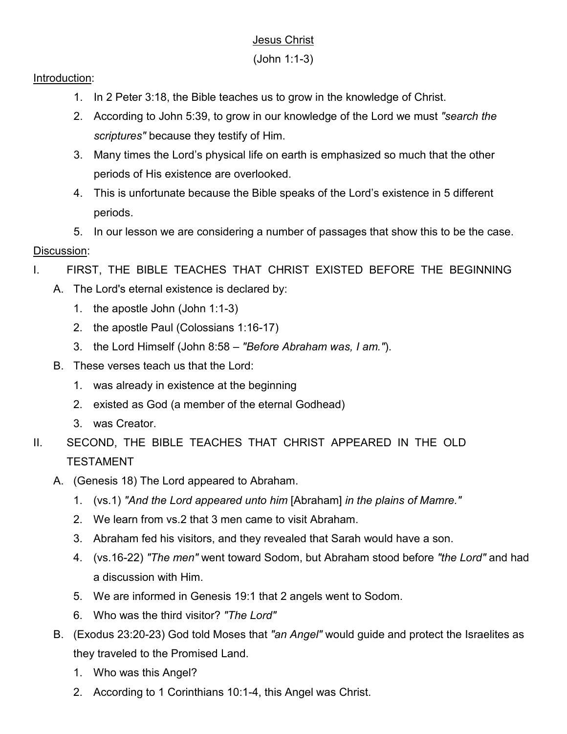## Jesus Christ

## Introduction:

- 1. In 2 Peter 3:18, the Bible teaches us to grow in the knowledge of Christ.
- 2. According to John 5:39, to grow in our knowledge of the Lord we must *"search the scriptures"* because they testify of Him.
- 3. Many times the Lord's physical life on earth is emphasized so much that the other periods of His existence are overlooked.
- 4. This is unfortunate because the Bible speaks of the Lord's existence in 5 different periods.
- 5. In our lesson we are considering a number of passages that show this to be the case. Discussion:

## I. FIRST, THE BIBLE TEACHES THAT CHRIST EXISTED BEFORE THE BEGINNING

- A. The Lord's eternal existence is declared by:
	- 1. the apostle John (John 1:1-3)
	- 2. the apostle Paul (Colossians 1:16-17)
	- 3. the Lord Himself (John 8:58 *"Before Abraham was, I am."*).
- B. These verses teach us that the Lord:
	- 1. was already in existence at the beginning
	- 2. existed as God (a member of the eternal Godhead)
	- 3. was Creator.
- II. SECOND, THE BIBLE TEACHES THAT CHRIST APPEARED IN THE OLD TESTAMENT
	- A. (Genesis 18) The Lord appeared to Abraham.
		- 1. (vs.1) *"And the Lord appeared unto him* [Abraham] *in the plains of Mamre."*
		- 2. We learn from vs.2 that 3 men came to visit Abraham.
		- 3. Abraham fed his visitors, and they revealed that Sarah would have a son.
		- 4. (vs.16-22) *"The men"* went toward Sodom, but Abraham stood before *"the Lord"* and had a discussion with Him.
		- 5. We are informed in Genesis 19:1 that 2 angels went to Sodom.
		- 6. Who was the third visitor? *"The Lord"*
	- B. (Exodus 23:20-23) God told Moses that *"an Angel"* would guide and protect the Israelites as they traveled to the Promised Land.
		- 1. Who was this Angel?
		- 2. According to 1 Corinthians 10:1-4, this Angel was Christ.